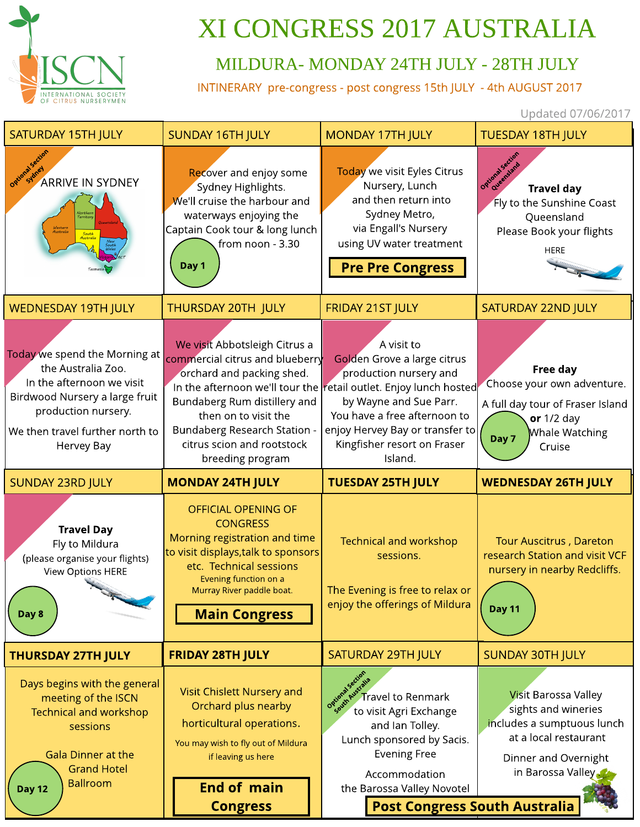

## XI CONGRESS 2017 AUSTRALIA

## MILDURA- MONDAY 24TH JULY - 28TH JULY

INTINERARY pre-congress - post congress 15th JULY - 4th AUGUST 2017

Updated 07/06/2017

| <b>SATURDAY 15TH JULY</b>                                                                                                                                                                  | <b>SUNDAY 16TH JULY</b>                                                                                                                                                                                                                        | <b>MONDAY 17TH JULY</b>                                                                                                                                                                                                                                                         | <b>TUESDAY 18TH JULY</b>                                                                                                                               |
|--------------------------------------------------------------------------------------------------------------------------------------------------------------------------------------------|------------------------------------------------------------------------------------------------------------------------------------------------------------------------------------------------------------------------------------------------|---------------------------------------------------------------------------------------------------------------------------------------------------------------------------------------------------------------------------------------------------------------------------------|--------------------------------------------------------------------------------------------------------------------------------------------------------|
| Optional See<br><b>ARRIVE IN SYDNEY</b><br>Western<br>Australia<br>South<br>Australia                                                                                                      | Recover and enjoy some<br>Sydney Highlights.<br>We'll cruise the harbour and<br>waterways enjoying the<br>Captain Cook tour & long lunch<br>from noon - 3.30<br>Day 1                                                                          | Today we visit Eyles Citrus<br>Nursery, Lunch<br>and then return into<br>Sydney Metro,<br>via Engall's Nursery<br>using UV water treatment<br><b>Pre Pre Congress</b>                                                                                                           | Optional Section<br><b>Travel day</b><br>Fly to the Sunshine Coast<br>Queensland<br>Please Book your flights<br><b>HERE</b>                            |
| <b>WEDNESDAY 19TH JULY</b>                                                                                                                                                                 | THURSDAY 20TH JULY                                                                                                                                                                                                                             | <b>FRIDAY 21ST JULY</b>                                                                                                                                                                                                                                                         | <b>SATURDAY 22ND JULY</b>                                                                                                                              |
| Today we spend the Morning at<br>the Australia Zoo.<br>In the afternoon we visit<br>Birdwood Nursery a large fruit<br>production nursery.<br>We then travel further north to<br>Hervey Bay | We visit Abbotsleigh Citrus a<br>commercial citrus and blueberry<br>orchard and packing shed.<br>Bundaberg Rum distillery and<br>then on to visit the<br><b>Bundaberg Research Station -</b><br>citrus scion and rootstock<br>breeding program | A visit to<br>Golden Grove a large citrus<br>production nursery and<br>In the afternoon we'll tour the retail outlet. Enjoy lunch hosted<br>by Wayne and Sue Parr.<br>You have a free afternoon to<br>enjoy Hervey Bay or transfer to<br>Kingfisher resort on Fraser<br>Island. | Free day<br>Choose your own adventure.<br>A full day tour of Fraser Island<br>or $1/2$ day<br>Whale Watching<br>Day 7<br>Cruise                        |
|                                                                                                                                                                                            |                                                                                                                                                                                                                                                |                                                                                                                                                                                                                                                                                 |                                                                                                                                                        |
| <b>SUNDAY 23RD JULY</b>                                                                                                                                                                    | <b>MONDAY 24TH JULY</b>                                                                                                                                                                                                                        | <b>TUESDAY 25TH JULY</b>                                                                                                                                                                                                                                                        | <b>WEDNESDAY 26TH JULY</b>                                                                                                                             |
| <b>Travel Day</b><br>Fly to Mildura<br>(please organise your flights)<br>View Options HERE<br>Day 8                                                                                        | <b>OFFICIAL OPENING OF</b><br><b>CONGRESS</b><br>Morning registration and time<br>to visit displays, talk to sponsors<br>etc. Technical sessions<br>Evening function on a<br>Murray River paddle boat.<br><b>Main Congress</b>                 | <b>Technical and workshop</b><br>sessions.<br>The Evening is free to relax or<br>enjoy the offerings of Mildura                                                                                                                                                                 | <b>Tour Auscitrus, Dareton</b><br>research Station and visit VCF<br>nursery in nearby Redcliffs.<br><b>Day 11</b>                                      |
| <b>THURSDAY 27TH JULY</b>                                                                                                                                                                  | <b>FRIDAY 28TH JULY</b>                                                                                                                                                                                                                        | <b>SATURDAY 29TH JULY</b>                                                                                                                                                                                                                                                       | <b>SUNDAY 30TH JULY</b>                                                                                                                                |
| Days begins with the general<br>meeting of the ISCN<br><b>Technical and workshop</b><br>sessions<br><b>Gala Dinner at the</b><br><b>Grand Hotel</b><br><b>Ballroom</b><br><b>Day 12</b>    | Visit Chislett Nursery and<br>Orchard plus nearby<br>horticultural operations.<br>You may wish to fly out of Mildura<br>if leaving us here<br><b>End of main</b>                                                                               | Ogudra Sections<br><b>Travel to Renmark</b><br>to visit Agri Exchange<br>and Ian Tolley.<br>Lunch sponsored by Sacis.<br><b>Evening Free</b><br>Accommodation<br>the Barossa Valley Novotel                                                                                     | <b>Visit Barossa Valley</b><br>sights and wineries<br>includes a sumptuous lunch<br>at a local restaurant<br>Dinner and Overnight<br>in Barossa Valley |